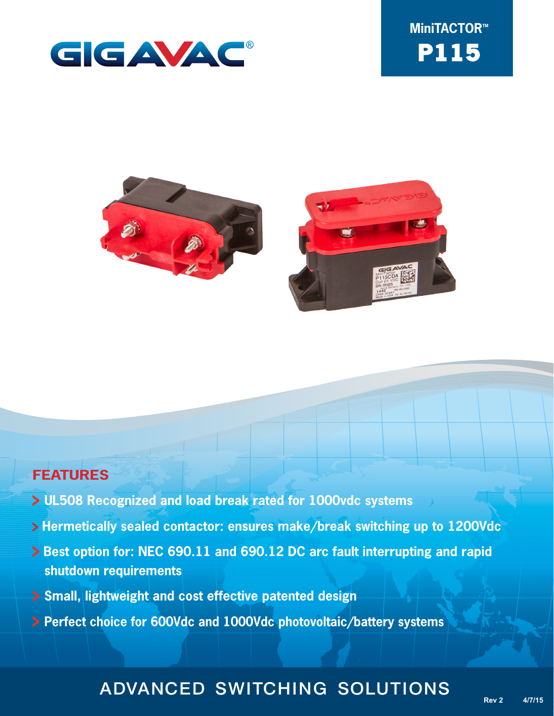





### **FEATURES**

- **UL508 Recognized and load break rated for 1000vdc systems**
- **Hermetically sealed contactor: ensures make/break switching up to 1200Vdc**
- **> Best option for: NEC 690.11 and 690.12 DC arc fault interrupting and rapid shutdown requirements**
- **Small, lightweight and cost effective patented design**
- **Perfect choice for 600Vdc and 1000Vdc photovoltaic/battery systems**

# ADVANCED SWITCHING SOLUTIONS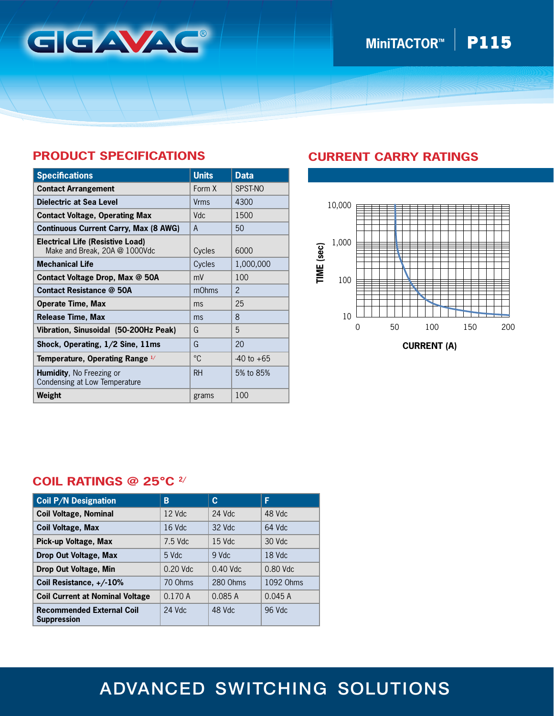

# **MiniTACTOR<sup>™</sup> P115**

### **PRODUCT SPECIFICATIONS**

| <b>Specifications</b>                                                    | <b>Units</b> | <b>Data</b>    |
|--------------------------------------------------------------------------|--------------|----------------|
| <b>Contact Arrangement</b>                                               | Form X       | SPST-NO        |
| Dielectric at Sea Level                                                  | Vrms         | 4300           |
| <b>Contact Voltage, Operating Max</b>                                    | <b>Vdc</b>   | 1500           |
| <b>Continuous Current Carry, Max (8 AWG)</b>                             | A            | 50             |
| <b>Electrical Life (Resistive Load)</b><br>Make and Break, 20A @ 1000Vdc | Cycles       | 6000           |
| <b>Mechanical Life</b>                                                   | Cycles       | 1,000,000      |
| Contact Voltage Drop, Max @ 50A                                          | mV           | 100            |
| <b>Contact Resistance @ 50A</b>                                          | mOhms        | $\mathfrak{p}$ |
| <b>Operate Time, Max</b>                                                 | ms           | 25             |
| Release Time, Max                                                        | ms           | 8              |
| Vibration, Sinusoidal (50-200Hz Peak)                                    | G            | 5              |
| Shock, Operating, 1/2 Sine, 11ms                                         | G            | 20             |
| Temperature, Operating Range 1/                                          | °C           | $-40$ to $+65$ |
| <b>Humidity, No Freezing or</b><br>Condensing at Low Temperature         | <b>RH</b>    | 5% to 85%      |
| Weight                                                                   | grams        | 100            |

### **CURRENT CARRY RATINGS**



#### **COIL RATINGS @ 25°C 2/**

| <b>Coil P/N Designation</b>                            | B          | C          | F          |
|--------------------------------------------------------|------------|------------|------------|
| <b>Coil Voltage, Nominal</b>                           | 12 Vdc     | $24$ Vdc   | 48 Vdc     |
| <b>Coil Voltage, Max</b>                               | $16$ Vdc   | 32 Vdc     | 64 Vdc     |
| Pick-up Voltage, Max                                   | $7.5$ Vdc  | $15$ Vdc   | 30 Vdc     |
| Drop Out Voltage, Max                                  | 5 Vdc      | 9 Vdc      | 18 Vdc     |
| Drop Out Voltage, Min                                  | $0.20$ Vdc | $0.40$ Vdc | $0.80$ Vdc |
| Coil Resistance, +/-10%                                | 70 Ohms    | 280 Ohms   | 1092 Ohms  |
| <b>Coil Current at Nominal Voltage</b>                 | 0.170A     | 0.085A     | 0.045A     |
| <b>Recommended External Coil</b><br><b>Suppression</b> | 24 Vdc     | 48 Vdc     | 96 Vdc     |

# ADVANCED SWITCHING SOLUTIONS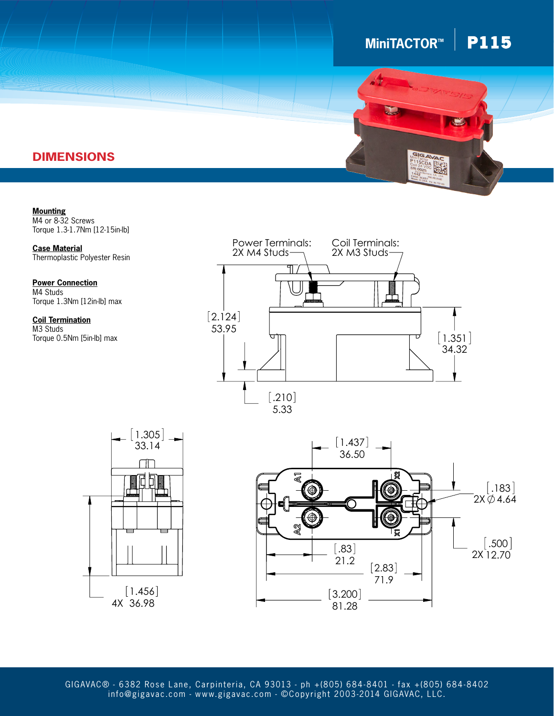## $MinITACTOR^M$  **P115**



### **DIMENSIONS**

**Mounting** M4 or 8-32 Screws Torque 1.3-1.7Nm [12-15in-lb]

**Case Material** Thermoplastic Polyester Resin

.183 Torque 1.3Nm [12in-lb] max **Power Connection** M4 Studs

**Coil Termination** M3 Studs Torque 0.5Nm [5in-lb] max







2.124 info@gigavac.com - www.gigavac.com - ©Copyright 2003-2014 GIGAVAC, LLC. GIGAVAC® - 6382 Rose Lane, Carpinteria, CA 93013 - ph +(805) 684-8401 - fax +(805) 684-8402